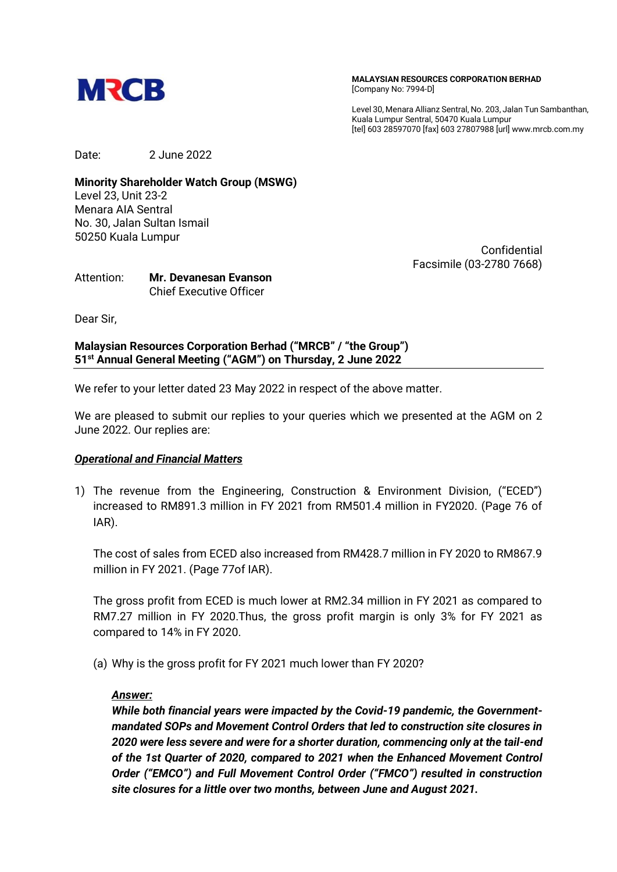

**MALAYSIAN RESOURCES CORPORATION BERHAD** [Company No: 7994-D]

Level 30, Menara Allianz Sentral, No. 203, Jalan Tun Sambanthan, Kuala Lumpur Sentral, 50470 Kuala Lumpur [tel] 603 28597070 [fax] 603 27807988 [url] www.mrcb.com.my

Date: 2 June 2022

**Minority Shareholder Watch Group (MSWG)** Level 23, Unit 23-2 Menara AIA Sentral No. 30, Jalan Sultan Ismail 50250 Kuala Lumpur

Confidential Facsimile (03-2780 7668)

Attention: **Mr. Devanesan Evanson** Chief Executive Officer

Dear Sir,

## **Malaysian Resources Corporation Berhad ("MRCB" / "the Group") 51 st Annual General Meeting ("AGM") on Thursday, 2 June 2022**

We refer to your letter dated 23 May 2022 in respect of the above matter.

We are pleased to submit our replies to your queries which we presented at the AGM on 2 June 2022. Our replies are:

## *Operational and Financial Matters*

1) The revenue from the Engineering, Construction & Environment Division, ("ECED") increased to RM891.3 million in FY 2021 from RM501.4 million in FY2020. (Page 76 of IAR).

The cost of sales from ECED also increased from RM428.7 million in FY 2020 to RM867.9 million in FY 2021. (Page 77of IAR).

The gross profit from ECED is much lower at RM2.34 million in FY 2021 as compared to RM7.27 million in FY 2020.Thus, the gross profit margin is only 3% for FY 2021 as compared to 14% in FY 2020.

(a) Why is the gross profit for FY 2021 much lower than FY 2020?

## *Answer:*

*While both financial years were impacted by the Covid-19 pandemic, the Governmentmandated SOPs and Movement Control Orders that led to construction site closures in 2020 were less severe and were for a shorter duration, commencing only at the tail-end of the 1st Quarter of 2020, compared to 2021 when the Enhanced Movement Control Order ("EMCO") and Full Movement Control Order ("FMCO") resulted in construction site closures for a little over two months, between June and August 2021.*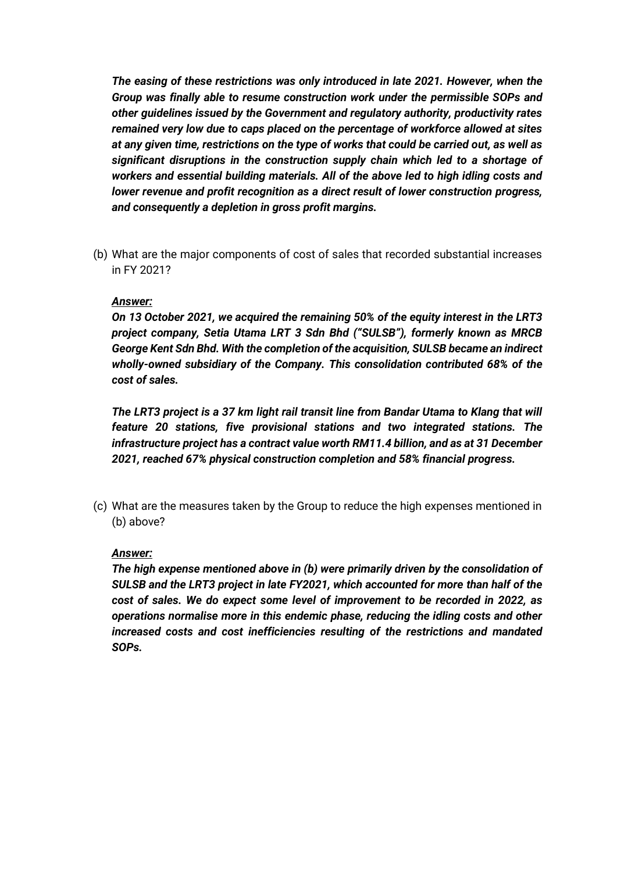*The easing of these restrictions was only introduced in late 2021. However, when the Group was finally able to resume construction work under the permissible SOPs and other guidelines issued by the Government and regulatory authority, productivity rates remained very low due to caps placed on the percentage of workforce allowed at sites at any given time, restrictions on the type of works that could be carried out, as well as significant disruptions in the construction supply chain which led to a shortage of workers and essential building materials. All of the above led to high idling costs and lower revenue and profit recognition as a direct result of lower construction progress, and consequently a depletion in gross profit margins.*

(b) What are the major components of cost of sales that recorded substantial increases in FY 2021?

#### *Answer:*

*On 13 October 2021, we acquired the remaining 50% of the equity interest in the LRT3 project company, Setia Utama LRT 3 Sdn Bhd ("SULSB"), formerly known as MRCB George Kent Sdn Bhd. With the completion of the acquisition, SULSB became an indirect wholly-owned subsidiary of the Company. This consolidation contributed 68% of the cost of sales.*

*The LRT3 project is a 37 km light rail transit line from Bandar Utama to Klang that will feature 20 stations, five provisional stations and two integrated stations. The infrastructure project has a contract value worth RM11.4 billion, and as at 31 December 2021, reached 67% physical construction completion and 58% financial progress.*

(c) What are the measures taken by the Group to reduce the high expenses mentioned in (b) above?

#### *Answer:*

*The high expense mentioned above in (b) were primarily driven by the consolidation of SULSB and the LRT3 project in late FY2021, which accounted for more than half of the cost of sales. We do expect some level of improvement to be recorded in 2022, as operations normalise more in this endemic phase, reducing the idling costs and other increased costs and cost inefficiencies resulting of the restrictions and mandated SOPs.*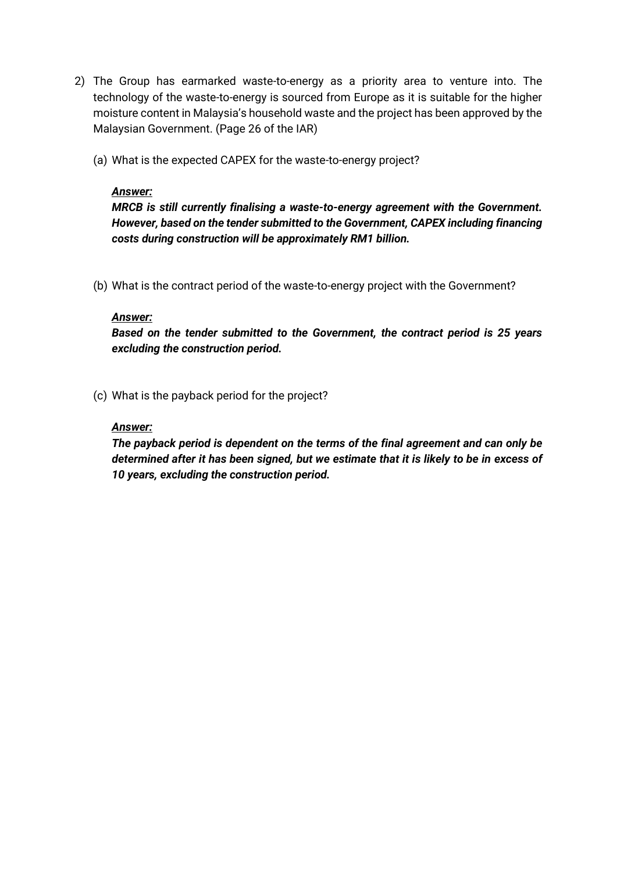- 2) The Group has earmarked waste-to-energy as a priority area to venture into. The technology of the waste-to-energy is sourced from Europe as it is suitable for the higher moisture content in Malaysia's household waste and the project has been approved by the Malaysian Government. (Page 26 of the IAR)
	- (a) What is the expected CAPEX for the waste-to-energy project?

## *Answer:*

*MRCB is still currently finalising a waste-to-energy agreement with the Government. However, based on the tender submitted to the Government, CAPEX including financing costs during construction will be approximately RM1 billion.*

(b) What is the contract period of the waste-to-energy project with the Government?

## *Answer:*

*Based on the tender submitted to the Government, the contract period is 25 years excluding the construction period.*

(c) What is the payback period for the project?

## *Answer:*

*The payback period is dependent on the terms of the final agreement and can only be determined after it has been signed, but we estimate that it is likely to be in excess of 10 years, excluding the construction period.*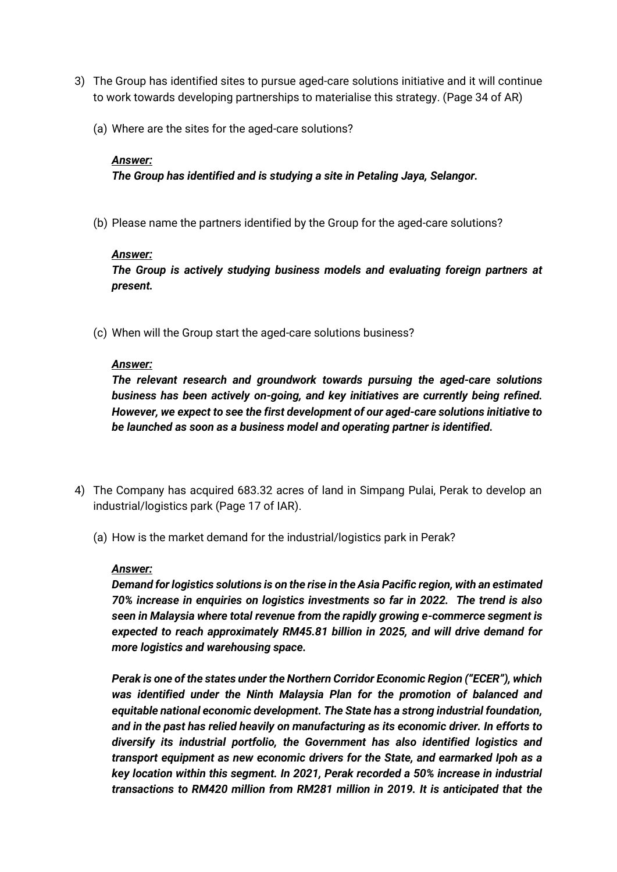- 3) The Group has identified sites to pursue aged-care solutions initiative and it will continue to work towards developing partnerships to materialise this strategy. (Page 34 of AR)
	- (a) Where are the sites for the aged-care solutions?

## *Answer:*

*The Group has identified and is studying a site in Petaling Jaya, Selangor.*

(b) Please name the partners identified by the Group for the aged-care solutions?

## *Answer:*

*The Group is actively studying business models and evaluating foreign partners at present.*

(c) When will the Group start the aged-care solutions business?

# *Answer:*

*The relevant research and groundwork towards pursuing the aged-care solutions business has been actively on-going, and key initiatives are currently being refined. However, we expect to see the first development of our aged-care solutions initiative to be launched as soon as a business model and operating partner is identified.* 

- 4) The Company has acquired 683.32 acres of land in Simpang Pulai, Perak to develop an industrial/logistics park (Page 17 of IAR).
	- (a) How is the market demand for the industrial/logistics park in Perak?

## *Answer:*

*Demand for logistics solutions is on the rise in the Asia Pacific region, with an estimated 70% increase in enquiries on logistics investments so far in 2022. The trend is also seen in Malaysia where total revenue from the rapidly growing e-commerce segment is expected to reach approximately RM45.81 billion in 2025, and will drive demand for more logistics and warehousing space.*

*Perak is one of the states under the Northern Corridor Economic Region ("ECER"), which was identified under the Ninth Malaysia Plan for the promotion of balanced and equitable national economic development. The State has a strong industrial foundation, and in the past has relied heavily on manufacturing as its economic driver. In efforts to diversify its industrial portfolio, the Government has also identified logistics and transport equipment as new economic drivers for the State, and earmarked Ipoh as a key location within this segment. In 2021, Perak recorded a 50% increase in industrial transactions to RM420 million from RM281 million in 2019. It is anticipated that the*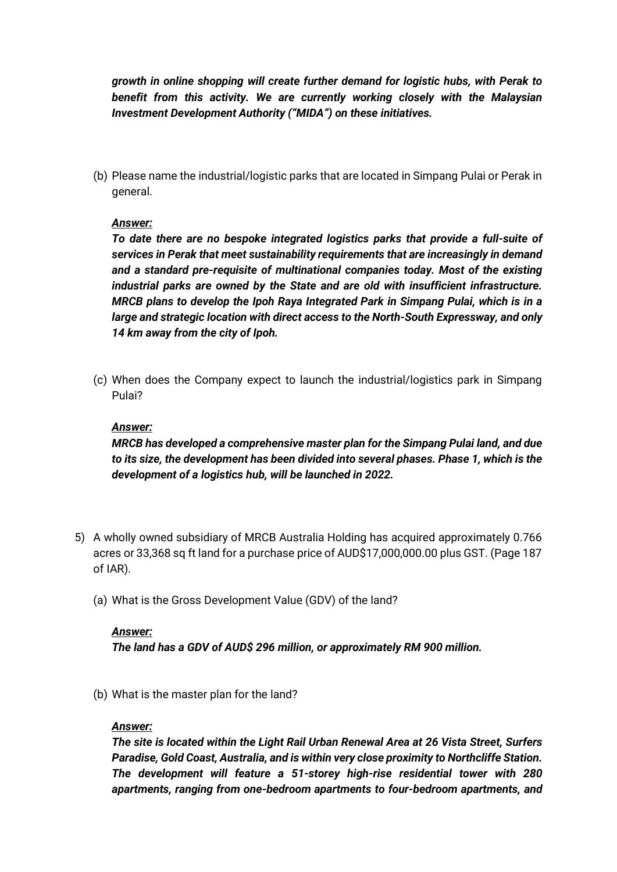*growth in online shopping will create further demand for logistic hubs, with Perak to benefit from this activity. We are currently working closely with the Malaysian Investment Development Authority ("MIDA") on these initiatives.*

(b) Please name the industrial/logistic parks that are located in Simpang Pulai or Perak in general.

# *Answer:*

*To date there are no bespoke integrated logistics parks that provide a full-suite of services in Perak that meet sustainability requirements that are increasingly in demand and a standard pre-requisite of multinational companies today. Most of the existing industrial parks are owned by the State and are old with insufficient infrastructure. MRCB plans to develop the Ipoh Raya Integrated Park in Simpang Pulai, which is in a large and strategic location with direct access to the North-South Expressway, and only 14 km away from the city of Ipoh.*

(c) When does the Company expect to launch the industrial/logistics park in Simpang Pulai?

## *Answer:*

*MRCB has developed a comprehensive master plan for the Simpang Pulai land, and due to its size, the development has been divided into several phases. Phase 1, which is the development of a logistics hub, will be launched in 2022.* 

- 5) A wholly owned subsidiary of MRCB Australia Holding has acquired approximately 0.766 acres or 33,368 sq ft land for a purchase price of AUD\$17,000,000.00 plus GST. (Page 187 of IAR).
	- (a) What is the Gross Development Value (GDV) of the land?

## *Answer:*

*The land has a GDV of AUD\$ 296 million, or approximately RM 900 million.*

(b) What is the master plan for the land?

## *Answer:*

*The site is located within the Light Rail Urban Renewal Area at 26 Vista Street, Surfers Paradise, Gold Coast, Australia, and is within very close proximity to Northcliffe Station. The development will feature a 51-storey high-rise residential tower with 280 apartments, ranging from one-bedroom apartments to four-bedroom apartments, and*